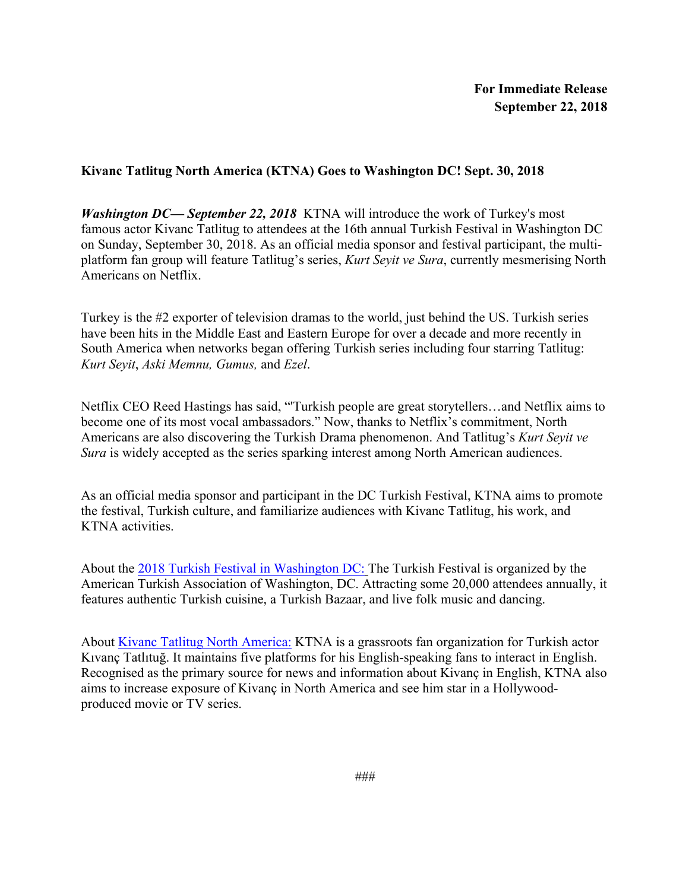## **Kivanc Tatlitug North America (KTNA) Goes to Washington DC! Sept. 30, 2018**

*Washington DC— September 22, 2018* KTNA will introduce the work of Turkey's most famous actor Kivanc Tatlitug to attendees at the 16th annual Turkish Festival in Washington DC on Sunday, September 30, 2018. As an official media sponsor and festival participant, the multiplatform fan group will feature Tatlitug's series, *Kurt Seyit ve Sura*, currently mesmerising North Americans on Netflix.

Turkey is the #2 exporter of television dramas to the world, just behind the US. Turkish series have been hits in the Middle East and Eastern Europe for over a decade and more recently in South America when networks began offering Turkish series including four starring Tatlitug: *Kurt Seyit*, *Aski Memnu, Gumus,* and *Ezel*.

Netflix CEO Reed Hastings has said, "'Turkish people are great storytellers…and Netflix aims to become one of its most vocal ambassadors." Now, thanks to Netflix's commitment, North Americans are also discovering the Turkish Drama phenomenon. And Tatlitug's *Kurt Seyit ve Sura* is widely accepted as the series sparking interest among North American audiences.

As an official media sponsor and participant in the DC Turkish Festival, KTNA aims to promote the festival, Turkish culture, and familiarize audiences with Kivanc Tatlitug, his work, and KTNA activities.

About the 2018 Turkish Festival in Washington DC: The Turkish Festival is organized by the American Turkish Association of Washington, DC. Attracting some 20,000 attendees annually, it features authentic Turkish cuisine, a Turkish Bazaar, and live folk music and dancing.

About Kivanc Tatlitug North America: KTNA is a grassroots fan organization for Turkish actor Kıvanç Tatlıtuğ. It maintains five platforms for his English-speaking fans to interact in English. Recognised as the primary source for news and information about Kivanç in English, KTNA also aims to increase exposure of Kivanç in North America and see him star in a Hollywoodproduced movie or TV series.